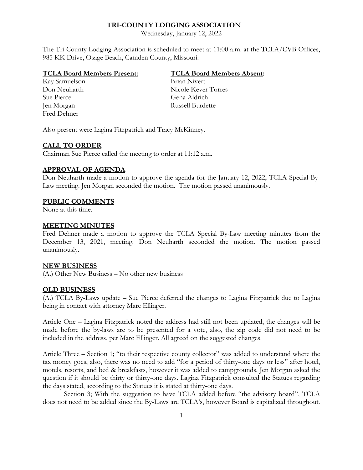### **TRI-COUNTY LODGING ASSOCIATION**

Wednesday, January 12, 2022

The Tri-County Lodging Association is scheduled to meet at 11:00 a.m. at the TCLA/CVB Offices, 985 KK Drive, Osage Beach, Camden County, Missouri.

#### **TCLA Board Members Present: TCLA Board Members Absent:**

Kay Samuelson Brian Nivert Sue Pierce Gena Aldrich Jen Morgan Russell Burdette Fred Dehner

Don Neuharth Nicole Kever Torres

Also present were Lagina Fitzpatrick and Tracy McKinney.

### **CALL TO ORDER**

Chairman Sue Pierce called the meeting to order at 11:12 a.m.

# **APPROVAL OF AGENDA**

Don Neuharth made a motion to approve the agenda for the January 12, 2022, TCLA Special By-Law meeting. Jen Morgan seconded the motion. The motion passed unanimously.

# **PUBLIC COMMENTS**

None at this time.

### **MEETING MINUTES**

Fred Dehner made a motion to approve the TCLA Special By-Law meeting minutes from the December 13, 2021, meeting. Don Neuharth seconded the motion. The motion passed unanimously.

### **NEW BUSINESS**

(A.) Other New Business – No other new business

#### **OLD BUSINESS**

(A.) TCLA By-Laws update – Sue Pierce deferred the changes to Lagina Fitzpatrick due to Lagina being in contact with attorney Marc Ellinger.

Article One – Lagina Fitzpatrick noted the address had still not been updated, the changes will be made before the by-laws are to be presented for a vote, also, the zip code did not need to be included in the address, per Marc Ellinger. All agreed on the suggested changes.

Article Three – Section 1; "to their respective county collector" was added to understand where the tax money goes, also, there was no need to add "for a period of thirty-one days or less" after hotel, motels, resorts, and bed & breakfasts, however it was added to campgrounds. Jen Morgan asked the question if it should be thirty or thirty-one days. Lagina Fitzpatrick consulted the Statues regarding the days stated, according to the Statues it is stated at thirty-one days.

Section 3; With the suggestion to have TCLA added before "the advisory board", TCLA does not need to be added since the By-Laws are TCLA's, however Board is capitalized throughout.